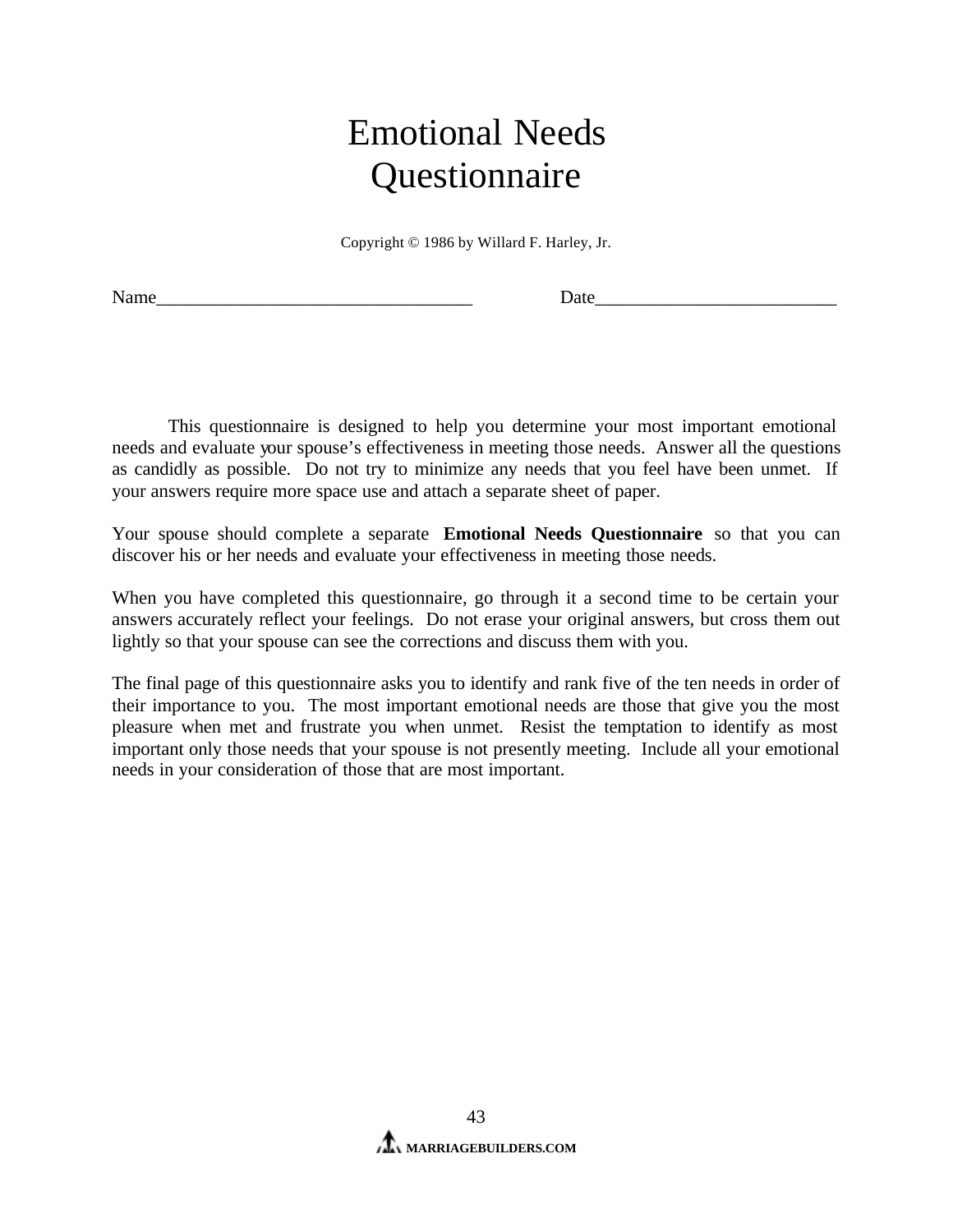# Emotional Needs **Questionnaire**

Copyright © 1986 by Willard F. Harley, Jr.

Name\_\_\_\_\_\_\_\_\_\_\_\_\_\_\_\_\_\_\_\_\_\_\_\_\_\_\_\_\_\_\_\_\_\_ Date\_\_\_\_\_\_\_\_\_\_\_\_\_\_\_\_\_\_\_\_\_\_\_\_\_\_

This questionnaire is designed to help you determine your most important emotional needs and evaluate your spouse's effectiveness in meeting those needs. Answer all the questions as candidly as possible. Do not try to minimize any needs that you feel have been unmet. If your answers require more space use and attach a separate sheet of paper.

Your spouse should complete a separate **Emotional Needs Questionnaire** so that you can discover his or her needs and evaluate your effectiveness in meeting those needs.

When you have completed this questionnaire, go through it a second time to be certain your answers accurately reflect your feelings. Do not erase your original answers, but cross them out lightly so that your spouse can see the corrections and discuss them with you.

The final page of this questionnaire asks you to identify and rank five of the ten needs in order of their importance to you. The most important emotional needs are those that give you the most pleasure when met and frustrate you when unmet. Resist the temptation to identify as most important only those needs that your spouse is not presently meeting. Include all your emotional needs in your consideration of those that are most important.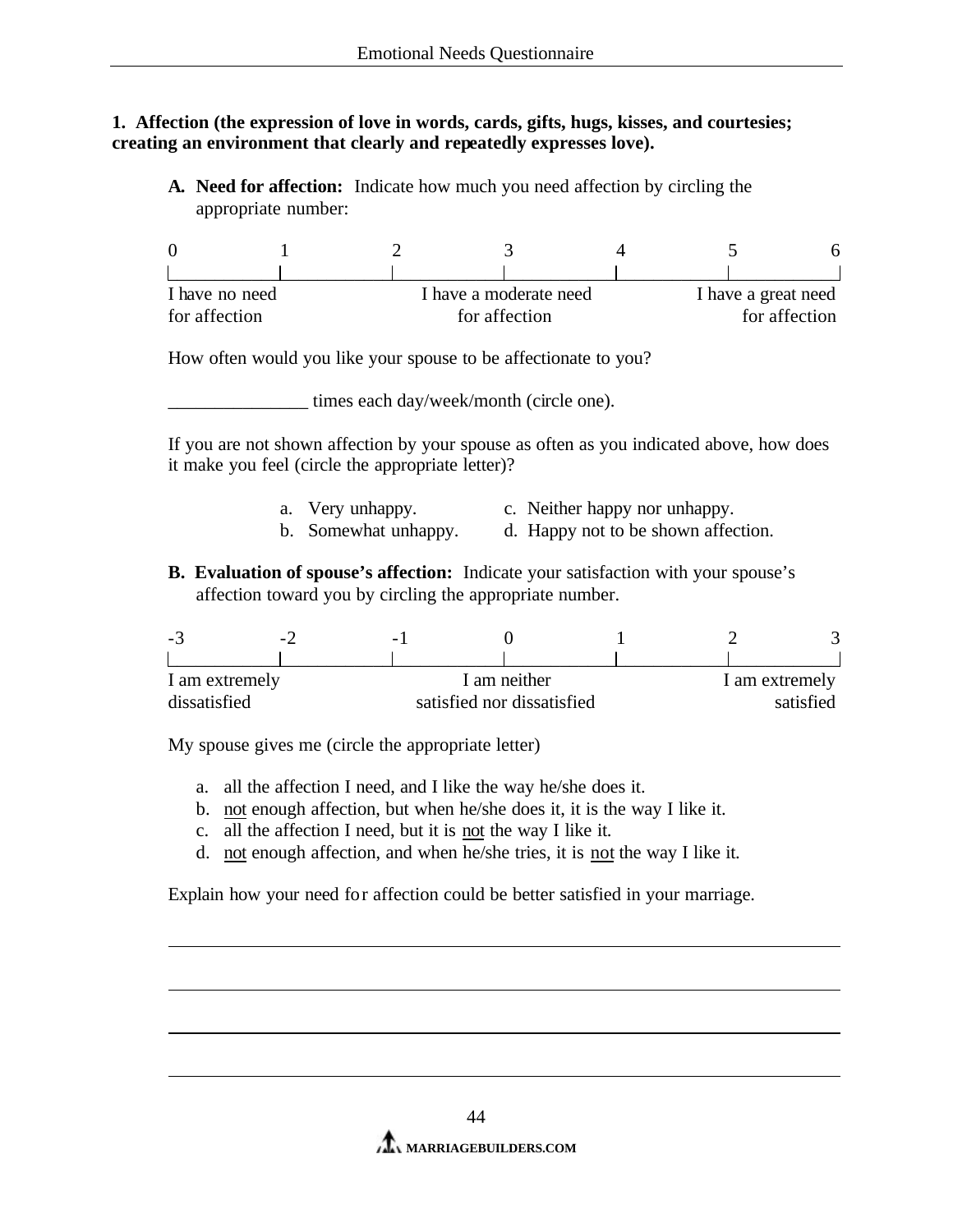#### **1. Affection (the expression of love in words, cards, gifts, hugs, kisses, and courtesies; creating an environment that clearly and repeatedly expresses love).**

**A. Need for affection:** Indicate how much you need affection by circling the appropriate number:

|               | I have no need |  | I have a moderate need | I have a great need |  |  |
|---------------|----------------|--|------------------------|---------------------|--|--|
| for affection |                |  | for affection          | for affection       |  |  |

How often would you like your spouse to be affectionate to you?

times each day/week/month (circle one).

If you are not shown affection by your spouse as often as you indicated above, how does it make you feel (circle the appropriate letter)?

- a. Very unhappy. c. Neither happy nor unhappy.
- b. Somewhat unhappy. d. Happy not to be shown affection.
- **B. Evaluation of spouse's affection:** Indicate your satisfaction with your spouse's affection toward you by circling the appropriate number.

| -ಎ             | $\sim$ . | $\overline{\phantom{0}}$   |  |  |                |  |  |
|----------------|----------|----------------------------|--|--|----------------|--|--|
|                |          |                            |  |  |                |  |  |
| I am extremely |          | I am neither               |  |  | I am extremely |  |  |
| dissatisfied   |          | satisfied nor dissatisfied |  |  | satisfied      |  |  |

My spouse gives me (circle the appropriate letter)

- a. all the affection I need, and I like the way he/she does it.
- b. not enough affection, but when he/she does it, it is the way I like it.
- c. all the affection I need, but it is not the way I like it.
- d. not enough affection, and when he/she tries, it is not the way I like it.

Explain how your need for affection could be better satisfied in your marriage.

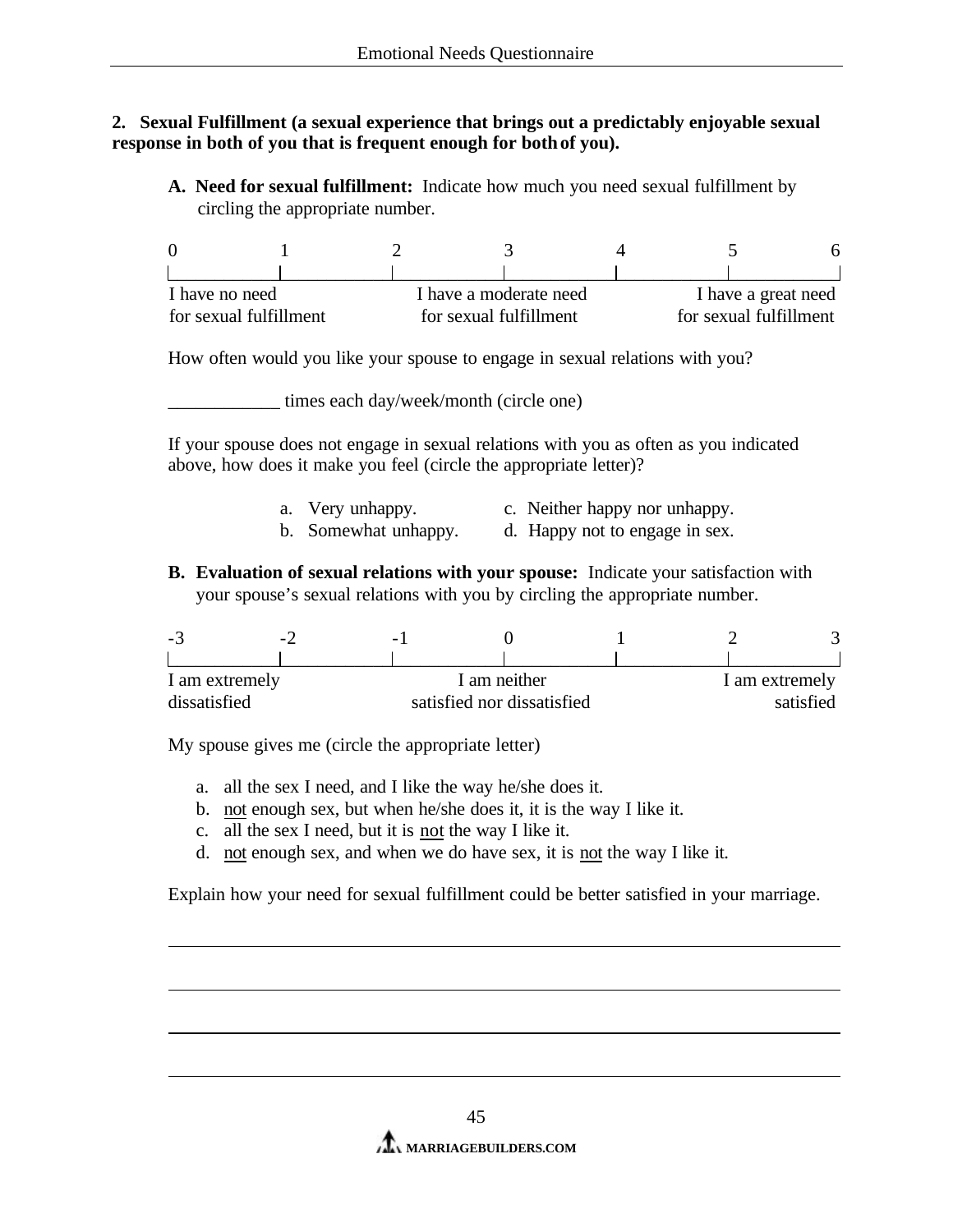### **2. Sexual Fulfillment (a sexual experience that brings out a predictably enjoyable sexual response in both of you that is frequent enough for both of you).**

**A. Need for sexual fulfillment:** Indicate how much you need sexual fulfillment by circling the appropriate number.

| I have no need         |  |                        | I have a moderate need |  | I have a great need    |  |  |
|------------------------|--|------------------------|------------------------|--|------------------------|--|--|
| for sexual fulfillment |  | for sexual fulfillment |                        |  | for sexual fulfillment |  |  |

How often would you like your spouse to engage in sexual relations with you?

\_\_\_\_\_\_\_\_\_\_\_\_ times each day/week/month (circle one)

If your spouse does not engage in sexual relations with you as often as you indicated above, how does it make you feel (circle the appropriate letter)?

- a. Very unhappy. c. Neither happy nor unhappy.
- b. Somewhat unhappy. d. Happy not to engage in sex.
- **B. Evaluation of sexual relations with your spouse:** Indicate your satisfaction with your spouse's sexual relations with you by circling the appropriate number.

| -5             | $\overline{\phantom{a}}$ | $\overline{\phantom{0}}$   |              |                |  |  |
|----------------|--------------------------|----------------------------|--------------|----------------|--|--|
|                |                          |                            |              |                |  |  |
| I am extremely |                          |                            | I am neither | I am extremely |  |  |
| dissatisfied   |                          | satisfied nor dissatisfied |              | satisfied      |  |  |

My spouse gives me (circle the appropriate letter)

- a. all the sex I need, and I like the way he/she does it.
- b. not enough sex, but when he/she does it, it is the way I like it.
- c. all the sex I need, but it is not the way I like it.
- d. not enough sex, and when we do have sex, it is not the way I like it.

Explain how your need for sexual fulfillment could be better satisfied in your marriage.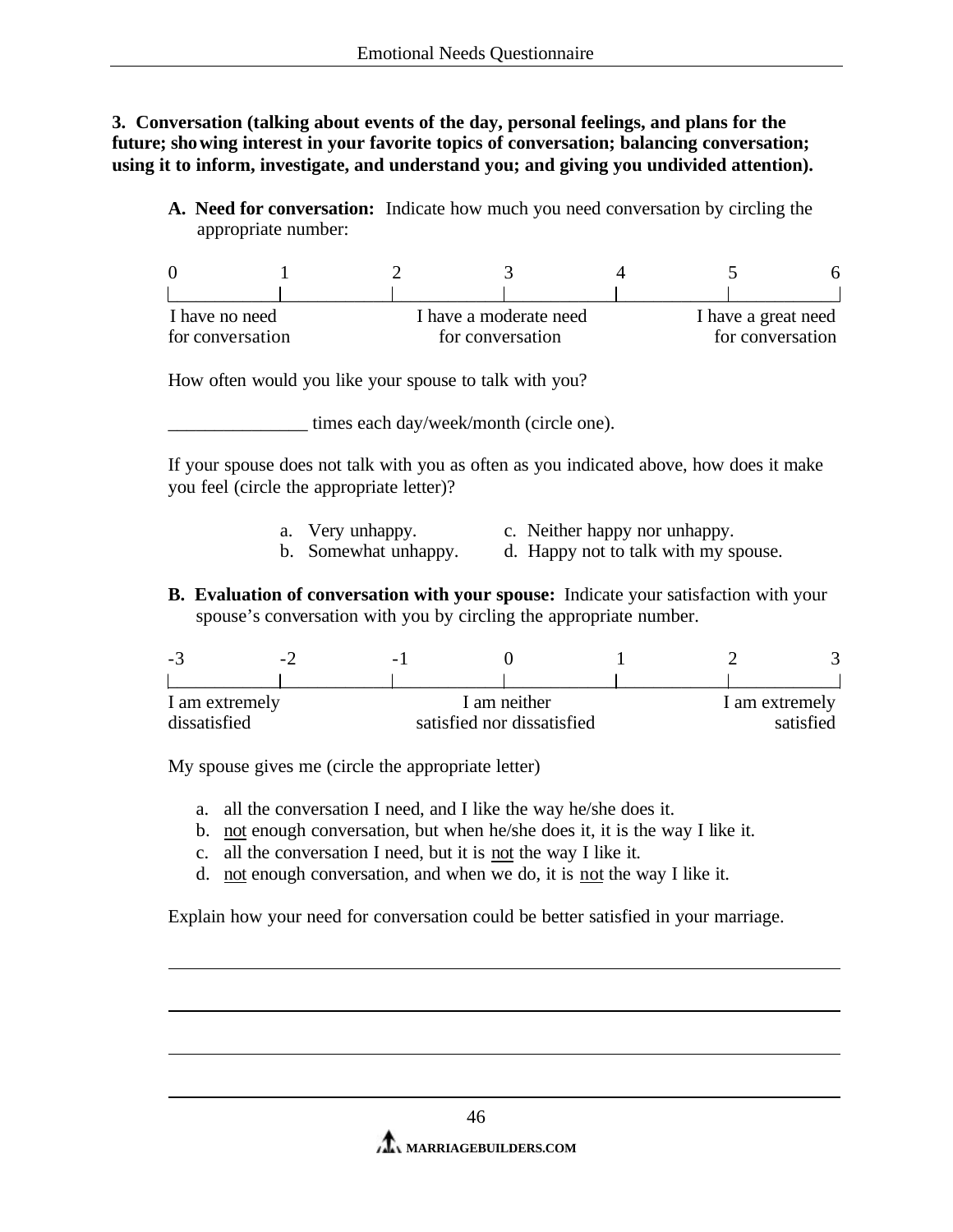**3. Conversation (talking about events of the day, personal feelings, and plans for the future; showing interest in your favorite topics of conversation; balancing conversation; using it to inform, investigate, and understand you; and giving you undivided attention).**

**A. Need for conversation:** Indicate how much you need conversation by circling the appropriate number:

| I have no need   |  | I have a moderate need |  | I have a great need |  |  |
|------------------|--|------------------------|--|---------------------|--|--|
| for conversation |  | for conversation       |  | for conversation    |  |  |

How often would you like your spouse to talk with you?

\_\_\_\_\_\_\_\_\_\_\_\_\_\_\_ times each day/week/month (circle one).

If your spouse does not talk with you as often as you indicated above, how does it make you feel (circle the appropriate letter)?

- a. Very unhappy. c. Neither happy nor unhappy.
- b. Somewhat unhappy. d. Happy not to talk with my spouse.
- **B. Evaluation of conversation with your spouse:** Indicate your satisfaction with your spouse's conversation with you by circling the appropriate number.

| -3             | $\sim$ . | $\overline{\phantom{0}}$ |                            |  |                |  |  |
|----------------|----------|--------------------------|----------------------------|--|----------------|--|--|
|                |          |                          |                            |  |                |  |  |
| I am extremely |          | I am neither             |                            |  | I am extremely |  |  |
| dissatisfied   |          |                          | satisfied nor dissatisfied |  | satisfied      |  |  |

My spouse gives me (circle the appropriate letter)

- a. all the conversation I need, and I like the way he/she does it.
- b. not enough conversation, but when he/she does it, it is the way I like it.
- c. all the conversation I need, but it is not the way I like it.
- d. not enough conversation, and when we do, it is not the way I like it.

Explain how your need for conversation could be better satisfied in your marriage.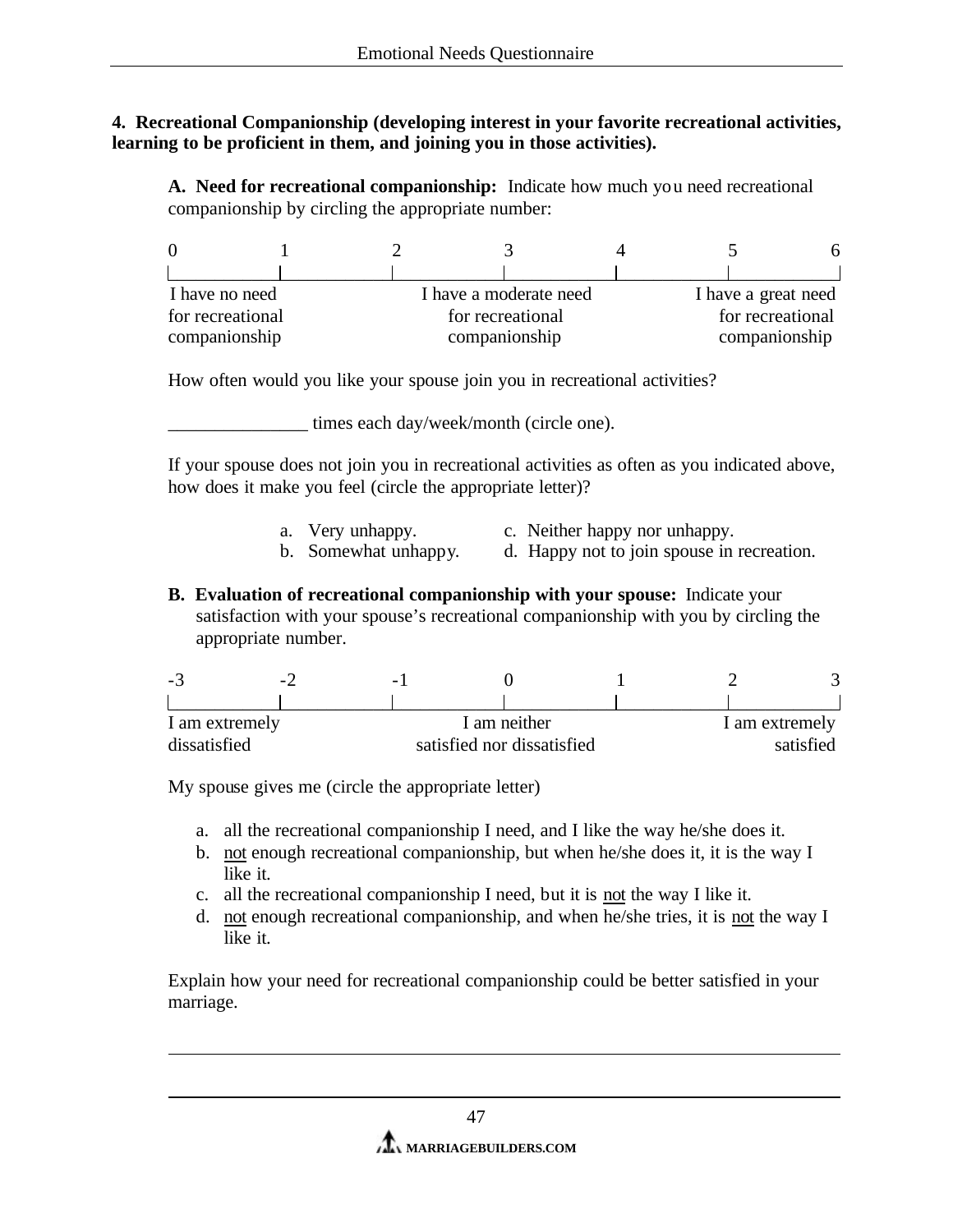## **4. Recreational Companionship (developing interest in your favorite recreational activities, learning to be proficient in them, and joining you in those activities).**

**A. Need for recreational companionship:** Indicate how much you need recreational companionship by circling the appropriate number:

| I have no need   |  |                  | I have a moderate need |  | I have a great need |  |  |
|------------------|--|------------------|------------------------|--|---------------------|--|--|
| for recreational |  | for recreational |                        |  | for recreational    |  |  |
| companionship    |  | companionship    |                        |  | companionship       |  |  |

How often would you like your spouse join you in recreational activities?

\_\_\_\_\_\_\_\_\_\_\_\_\_\_\_ times each day/week/month (circle one).

If your spouse does not join you in recreational activities as often as you indicated above, how does it make you feel (circle the appropriate letter)?

- a. Very unhappy. c. Neither happy nor unhappy.<br>b. Somewhat unhappy. d. Happy not to join spouse in
	- d. Happy not to join spouse in recreation.
- **B. Evaluation of recreational companionship with your spouse:** Indicate your satisfaction with your spouse's recreational companionship with you by circling the appropriate number.

| . <u>.</u> | $\overline{\phantom{a}}$ | $\overline{\phantom{0}}$ |                            |                |  |           |  |  |
|------------|--------------------------|--------------------------|----------------------------|----------------|--|-----------|--|--|
|            |                          |                          |                            |                |  |           |  |  |
|            | I am extremely           |                          | I am neither               | I am extremely |  |           |  |  |
|            | dissatisfied             |                          | satisfied nor dissatisfied |                |  | satisfied |  |  |

My spouse gives me (circle the appropriate letter)

- a. all the recreational companionship I need, and I like the way he/she does it.
- b. not enough recreational companionship, but when he/she does it, it is the way I like it.
- c. all the recreational companionship I need, but it is not the way I like it.
- d. not enough recreational companionship, and when he/she tries, it is not the way I like it.

Explain how your need for recreational companionship could be better satisfied in your marriage.

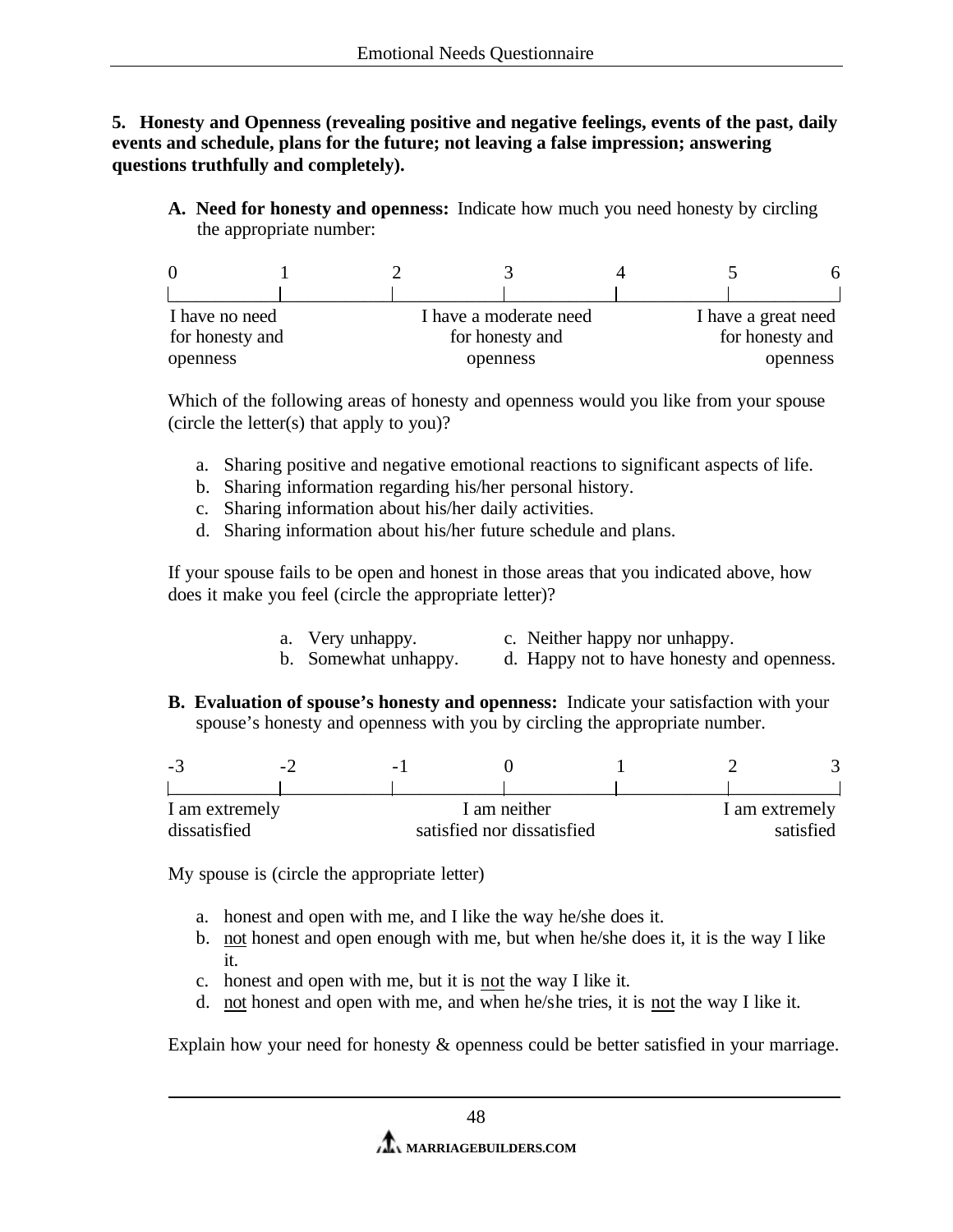**5. Honesty and Openness (revealing positive and negative feelings, events of the past, daily events and schedule, plans for the future; not leaving a false impression; answering questions truthfully and completely).** 

**A. Need for honesty and openness:** Indicate how much you need honesty by circling the appropriate number:

| I have no need  |  |                 | I have a moderate need |  | I have a great need |  |  |
|-----------------|--|-----------------|------------------------|--|---------------------|--|--|
| for honesty and |  | for honesty and |                        |  | for honesty and     |  |  |
| openness        |  |                 | openness               |  | openness            |  |  |

Which of the following areas of honesty and openness would you like from your spouse (circle the letter(s) that apply to you)?

- a. Sharing positive and negative emotional reactions to significant aspects of life.
- b. Sharing information regarding his/her personal history.
- c. Sharing information about his/her daily activities.
- d. Sharing information about his/her future schedule and plans.

If your spouse fails to be open and honest in those areas that you indicated above, how does it make you feel (circle the appropriate letter)?

- a. Very unhappy. c. Neither happy nor unhappy.
- b. Somewhat unhappy. d. Happy not to have honesty and openness.
- **B. Evaluation of spouse's honesty and openness:** Indicate your satisfaction with your spouse's honesty and openness with you by circling the appropriate number.

| $\sim$ $\sim$  | $\overline{\phantom{0}}$ |                            |  |  |                |  |
|----------------|--------------------------|----------------------------|--|--|----------------|--|
|                |                          |                            |  |  |                |  |
| I am extremely |                          | I am neither               |  |  | I am extremely |  |
| dissatisfied   |                          | satisfied nor dissatisfied |  |  | satisfied      |  |

My spouse is (circle the appropriate letter)

- a. honest and open with me, and I like the way he/she does it.
- b. not honest and open enough with me, but when he/she does it, it is the way I like it.
- c. honest and open with me, but it is not the way I like it.
- d. not honest and open with me, and when he/she tries, it is not the way I like it.

Explain how your need for honesty & openness could be better satisfied in your marriage.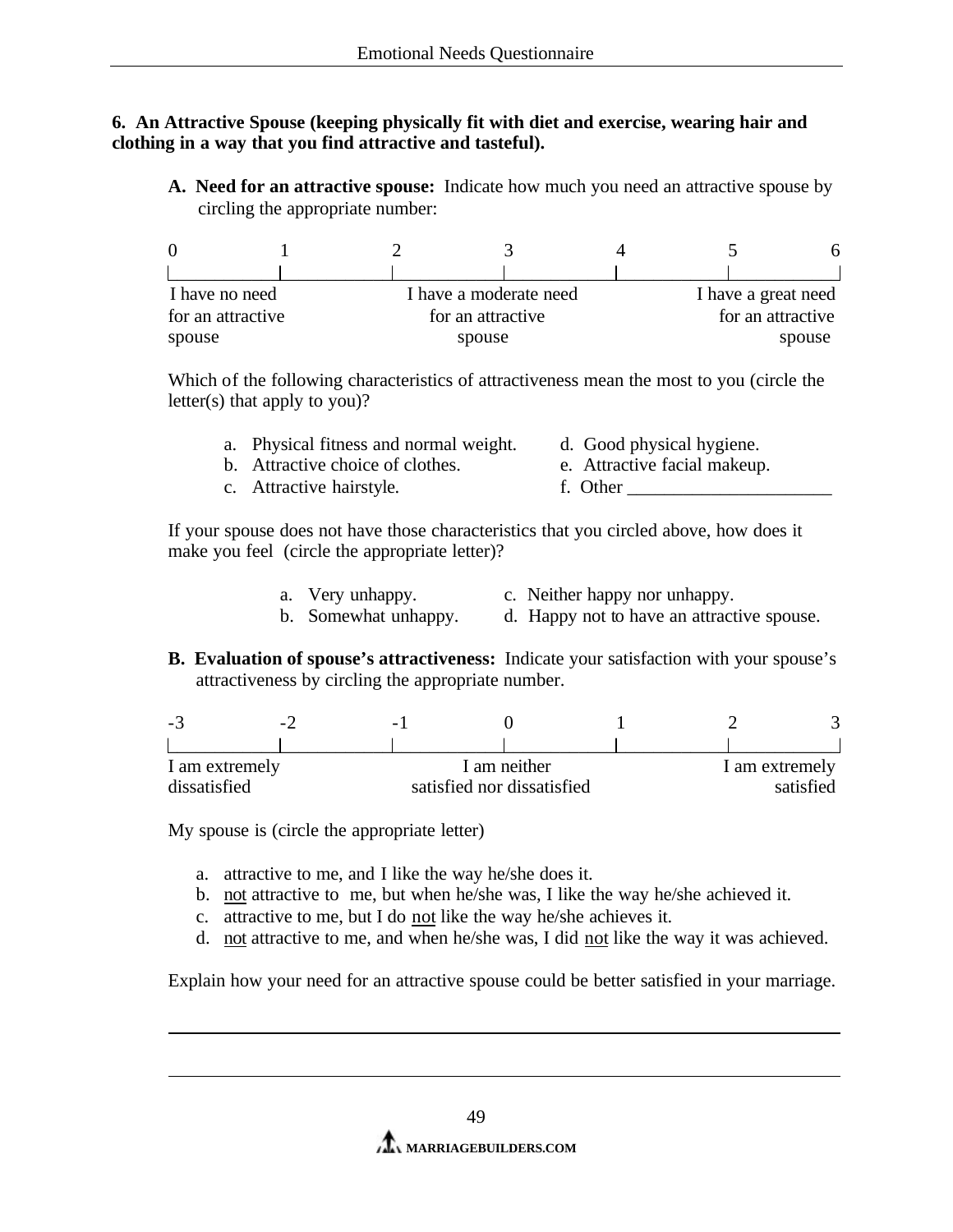### **6. An Attractive Spouse (keeping physically fit with diet and exercise, wearing hair and clothing in a way that you find attractive and tasteful).**

**A. Need for an attractive spouse:** Indicate how much you need an attractive spouse by circling the appropriate number:

| I have no need    |  | I have a moderate need |  | I have a great need |
|-------------------|--|------------------------|--|---------------------|
| for an attractive |  | for an attractive      |  | for an attractive   |
| spouse            |  | spouse                 |  | spouse              |

Which of the following characteristics of attractiveness mean the most to you (circle the letter(s) that apply to you)?

| a. Physical fitness and normal weight. | d. Good physical hygiene.    |
|----------------------------------------|------------------------------|
| b. Attractive choice of clothes.       | e. Attractive facial makeup. |
| c. Attractive hairstyle.               | f. Other                     |

If your spouse does not have those characteristics that you circled above, how does it make you feel (circle the appropriate letter)?

- a. Very unhappy. c. Neither happy nor unhappy.<br>b. Somewhat unhappy. d. Happy not to have an attract
	- d. Happy not to have an attractive spouse.
- **B. Evaluation of spouse's attractiveness:** Indicate your satisfaction with your spouse's attractiveness by circling the appropriate number.

| -5 |                | $ -$<br>$\overline{\phantom{0}}$ |                            |              |                |  |
|----|----------------|----------------------------------|----------------------------|--------------|----------------|--|
|    |                |                                  |                            |              |                |  |
|    | I am extremely |                                  |                            | I am neither | I am extremely |  |
|    | dissatisfied   |                                  | satisfied nor dissatisfied |              | satisfied      |  |

My spouse is (circle the appropriate letter)

- a. attractive to me, and I like the way he/she does it.
- b. not attractive to me, but when he/she was, I like the way he/she achieved it.
- c. attractive to me, but I do not like the way he/she achieves it.
- d. not attractive to me, and when he/she was, I did not like the way it was achieved.

Explain how your need for an attractive spouse could be better satisfied in your marriage.

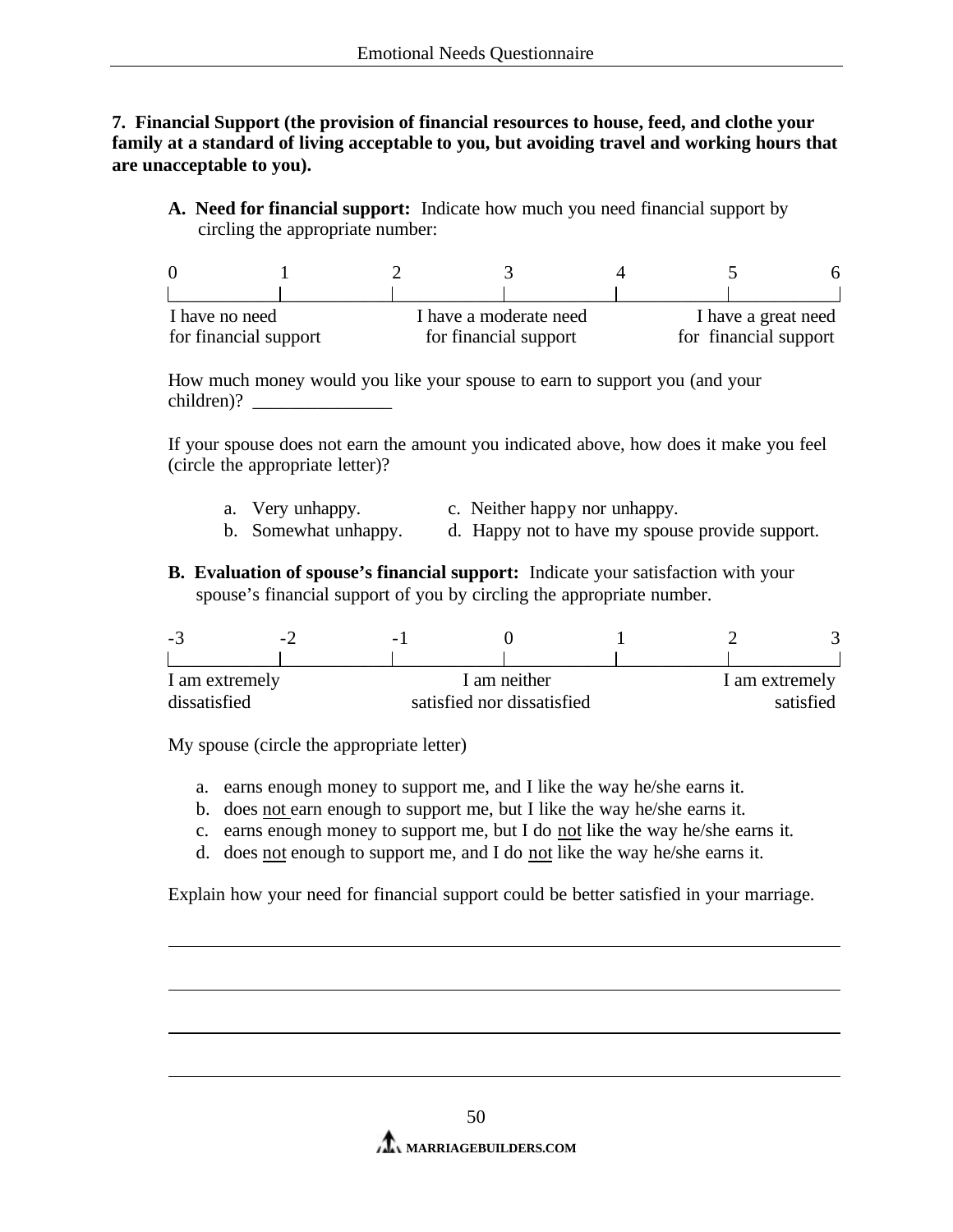**7. Financial Support (the provision of financial resources to house, feed, and clothe your family at a standard of living acceptable to you, but avoiding travel and working hours that are unacceptable to you).** 

**A. Need for financial support:** Indicate how much you need financial support by circling the appropriate number:

| I have no need        |  | I have a moderate need | I have a great need   |  |  |
|-----------------------|--|------------------------|-----------------------|--|--|
| for financial support |  | for financial support  | for financial support |  |  |

How much money would you like your spouse to earn to support you (and your children)?

If your spouse does not earn the amount you indicated above, how does it make you feel (circle the appropriate letter)?

- a. Very unhappy. c. Neither happy nor unhappy.
- b. Somewhat unhappy. d. Happy not to have my spouse provide support.
- **B. Evaluation of spouse's financial support:** Indicate your satisfaction with your spouse's financial support of you by circling the appropriate number.

| -ಎ             | $\sim$ . | $\overline{\phantom{0}}$   |              |                |  |
|----------------|----------|----------------------------|--------------|----------------|--|
|                |          |                            |              |                |  |
| I am extremely |          |                            | I am neither | I am extremely |  |
| dissatisfied   |          | satisfied nor dissatisfied |              | satisfied      |  |

My spouse (circle the appropriate letter)

- a. earns enough money to support me, and I like the way he/she earns it.
- b. does not earn enough to support me, but I like the way he/she earns it.
- c. earns enough money to support me, but I do not like the way he/she earns it.
- d. does not enough to support me, and I do not like the way he/she earns it.

Explain how your need for financial support could be better satisfied in your marriage.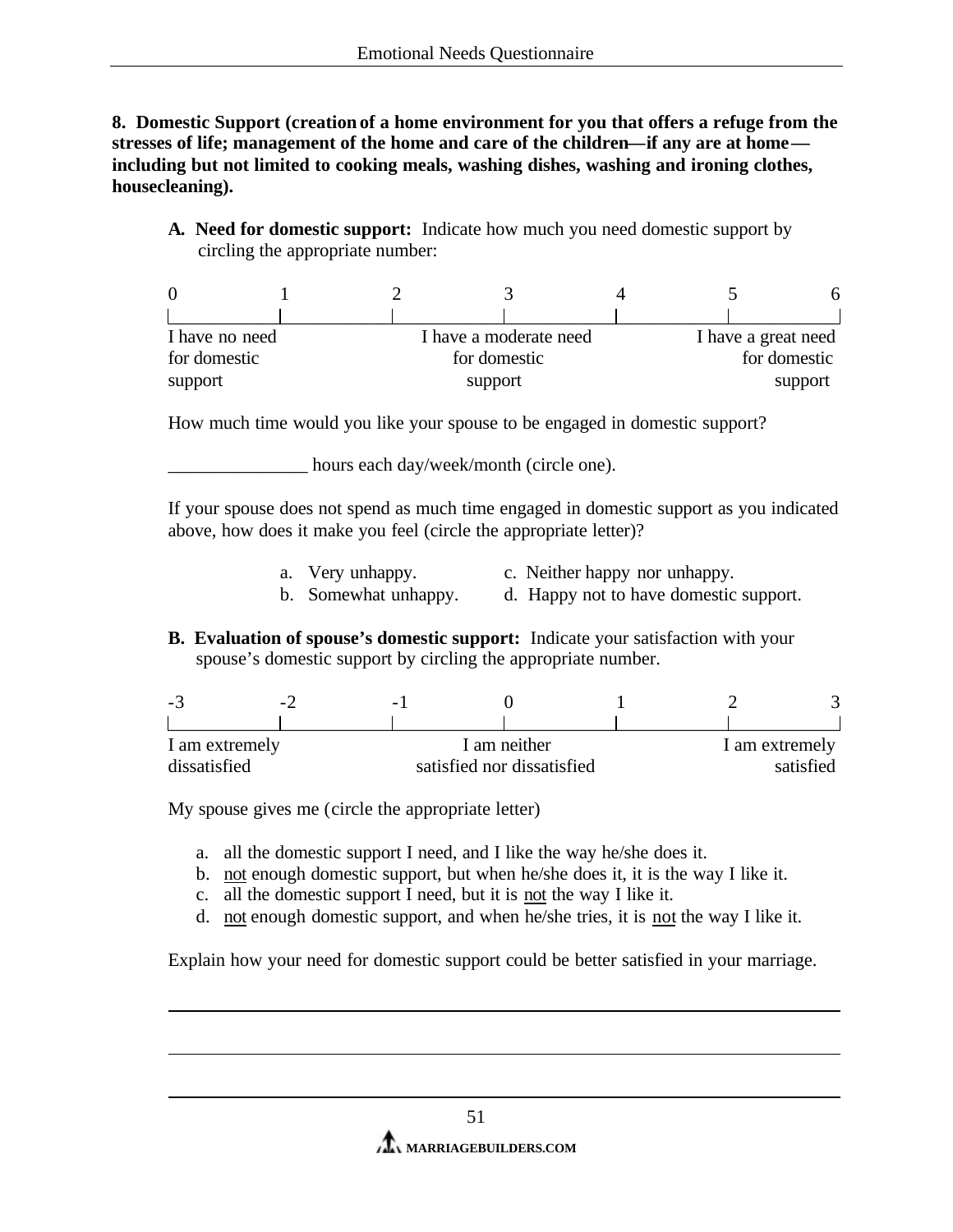**8. Domestic Support (creation of a home environment for you that offers a refuge from the stresses of life; management of the home and care of the children—if any are at home including but not limited to cooking meals, washing dishes, washing and ironing clothes, housecleaning).** 

**A. Need for domestic support:** Indicate how much you need domestic support by circling the appropriate number:

| I have no need |  | I have a moderate need | I have a great need |              |
|----------------|--|------------------------|---------------------|--------------|
| for domestic   |  | for domestic           |                     | for domestic |
| support        |  | support                |                     | support      |

How much time would you like your spouse to be engaged in domestic support?

\_\_\_\_\_\_\_\_\_\_\_\_\_\_\_ hours each day/week/month (circle one).

If your spouse does not spend as much time engaged in domestic support as you indicated above, how does it make you feel (circle the appropriate letter)?

- a. Very unhappy. c. Neither happy nor unhappy.
- b. Somewhat unhappy. d. Happy not to have domestic support.
- **B. Evaluation of spouse's domestic support:** Indicate your satisfaction with your spouse's domestic support by circling the appropriate number.

| -3                             | $\sim$ . | $\overline{\phantom{0}}$ |                            |                             |  |
|--------------------------------|----------|--------------------------|----------------------------|-----------------------------|--|
|                                |          |                          |                            |                             |  |
| I am extremely<br>dissatisfied |          |                          | I am neither               | I am extremely<br>satisfied |  |
|                                |          |                          | satisfied nor dissatisfied |                             |  |

My spouse gives me (circle the appropriate letter)

- a. all the domestic support I need, and I like the way he/she does it.
- b. not enough domestic support, but when he/she does it, it is the way I like it.
- c. all the domestic support I need, but it is not the way I like it.
- d. not enough domestic support, and when he/she tries, it is not the way I like it.

Explain how your need for domestic support could be better satisfied in your marriage.

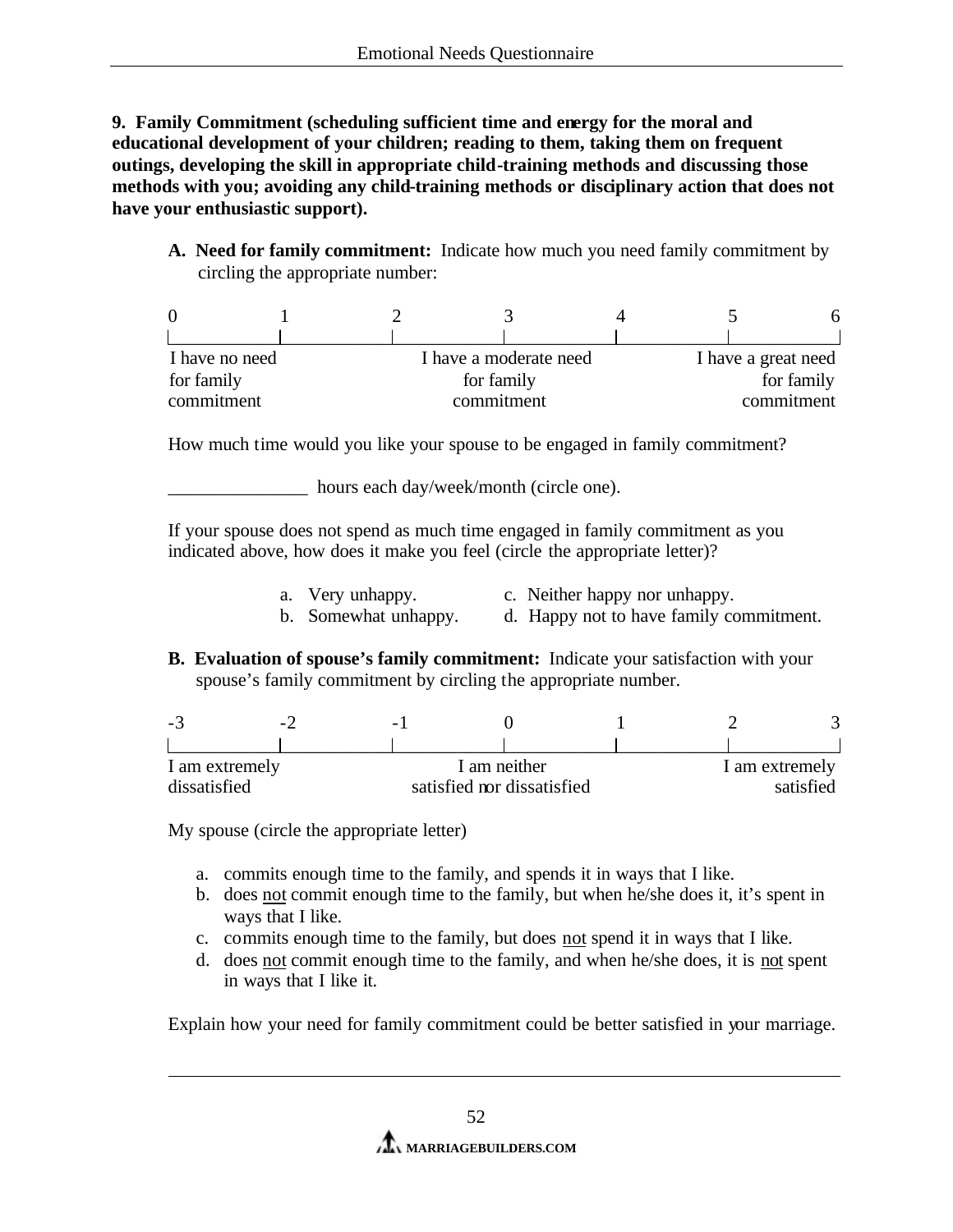**9. Family Commitment (scheduling sufficient time and energy for the moral and educational development of your children; reading to them, taking them on frequent outings, developing the skill in appropriate child-training methods and discussing those methods with you; avoiding any child-training methods or disciplinary action that does not have your enthusiastic support).** 

**A. Need for family commitment:** Indicate how much you need family commitment by circling the appropriate number:

| I have no need |  | I have a moderate need | I have a great need |            |
|----------------|--|------------------------|---------------------|------------|
| for family     |  | for family             |                     | for family |
| commitment     |  | commitment             |                     | commitment |

How much time would you like your spouse to be engaged in family commitment?

\_\_\_\_\_\_\_\_\_\_\_\_\_\_\_ hours each day/week/month (circle one).

If your spouse does not spend as much time engaged in family commitment as you indicated above, how does it make you feel (circle the appropriate letter)?

- a. Very unhappy. c. Neither happy nor unhappy.
- b. Somewhat unhappy. d. Happy not to have family commitment.
- **B. Evaluation of spouse's family commitment:** Indicate your satisfaction with your spouse's family commitment by circling the appropriate number.

| $\sim$         | $\sim$ $\prime$ | $\overline{\phantom{0}}$   |              |                |  |
|----------------|-----------------|----------------------------|--------------|----------------|--|
|                |                 |                            |              |                |  |
| I am extremely |                 |                            | I am neither | I am extremely |  |
| dissatisfied   |                 | satisfied nor dissatisfied |              | satisfied      |  |

My spouse (circle the appropriate letter)

- a. commits enough time to the family, and spends it in ways that I like.
- b. does not commit enough time to the family, but when he/she does it, it's spent in ways that I like.
- c. commits enough time to the family, but does not spend it in ways that I like.
- d. does not commit enough time to the family, and when he/she does, it is not spent in ways that I like it.

Explain how your need for family commitment could be better satisfied in your marriage.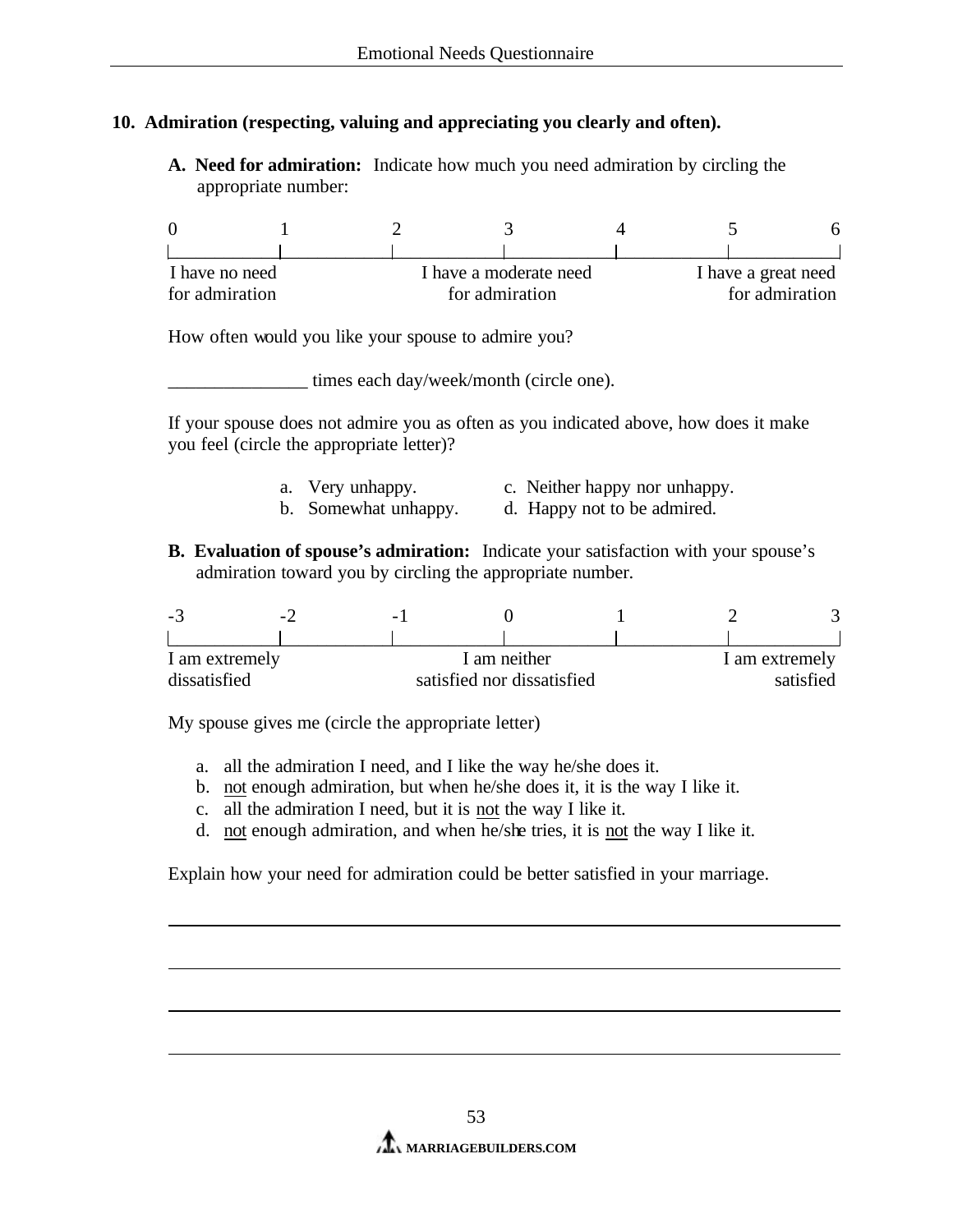# **10. Admiration (respecting, valuing and appreciating you clearly and often).**

**A. Need for admiration:** Indicate how much you need admiration by circling the appropriate number:

| I have no need |                | I have a moderate need | I have a great need |
|----------------|----------------|------------------------|---------------------|
| for admiration | for admiration |                        | for admiration      |

How often would you like your spouse to admire you?

\_\_\_\_\_\_\_\_\_\_\_\_\_\_\_ times each day/week/month (circle one).

If your spouse does not admire you as often as you indicated above, how does it make you feel (circle the appropriate letter)?

- a. Very unhappy. c. Neither happy nor unhappy.
- b. Somewhat unhappy. d. Happy not to be admired.
- **B. Evaluation of spouse's admiration:** Indicate your satisfaction with your spouse's admiration toward you by circling the appropriate number.

| - 21 |                | $\sim$ . | $\overline{\phantom{0}}$ |                            |                |
|------|----------------|----------|--------------------------|----------------------------|----------------|
|      |                |          |                          |                            |                |
|      | I am extremely |          |                          | I am neither               | 1 am extremely |
|      | dissatisfied   |          |                          | satisfied nor dissatisfied | satisfied      |

My spouse gives me (circle the appropriate letter)

- a. all the admiration I need, and I like the way he/she does it.
- b. not enough admiration, but when he/she does it, it is the way I like it.
- c. all the admiration I need, but it is not the way I like it.
- d. not enough admiration, and when he/she tries, it is not the way I like it.

Explain how your need for admiration could be better satisfied in your marriage.